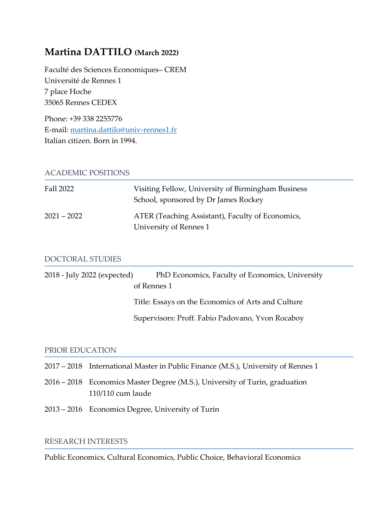# **Martina DATTILO (March 2022)**

Faculté des Sciences Economiques– CREM Université de Rennes 1 7 place Hoche 35065 Rennes CEDEX

Phone: +39 338 2255776 E-mail: [martina.dattilo@univ-rennes1.fr](mailto:martina.dattilo@univ-rennes1.fr) Italian citizen. Born in 1994.

## ACADEMIC POSITIONS

| Fall 2022     | Visiting Fellow, University of Birmingham Business<br>School, sponsored by Dr James Rockey |
|---------------|--------------------------------------------------------------------------------------------|
| $2021 - 2022$ | ATER (Teaching Assistant), Faculty of Economics,<br>University of Rennes 1                 |

## DOCTORAL STUDIES

| 2018 - July 2022 (expected) | PhD Economics, Faculty of Economics, University    |
|-----------------------------|----------------------------------------------------|
|                             | of Rennes 1                                        |
|                             | Title: Essays on the Economics of Arts and Culture |
|                             | Supervisors: Proff. Fabio Padovano, Yvon Rocaboy   |

#### PRIOR EDUCATION

- 2017 2018 International Master in Public Finance (M.S.), University of Rennes 1
- 2016 2018 Economics Master Degree (M.S.), University of Turin, graduation 110/110 cum laude
- 2013 2016 Economics Degree, University of Turin

#### RESEARCH INTERESTS

Public Economics, Cultural Economics, Public Choice, Behavioral Economics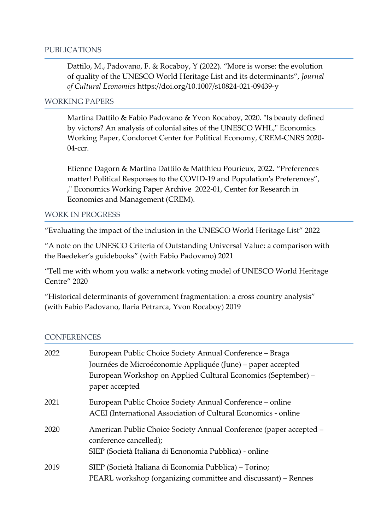### PUBLICATIONS

Dattilo, M., Padovano, F. & Rocaboy, Y (2022). "More is worse: the evolution of quality of the UNESCO World Heritage List and its determinants", *Journal of Cultural Economics* https://doi.org/10.1007/s10824-021-09439-y

### WORKING PAPERS

Martina Dattilo & Fabio Padovano & Yvon Rocaboy, 2020. "Is beauty defined by victors? An analysis of colonial sites of the UNESCO WHL," Economics Working Paper, Condorcet Center for Political Economy, CREM-CNRS 2020- 04-ccr.

Etienne Dagorn & Martina Dattilo & Matthieu Pourieux, 2022. "Preferences matter! Political Responses to the COVID-19 and Population's Preferences", ," [Economics Working Paper Archive](https://ideas.repec.org/s/tut/cremwp.html) 2022-01, Center for Research in Economics and Management (CREM).

#### WORK IN PROGRESS

"Evaluating the impact of the inclusion in the UNESCO World Heritage List" 2022

"A note on the UNESCO Criteria of Outstanding Universal Value: a comparison with the Baedeker's guidebooks" (with Fabio Padovano) 2021

"Tell me with whom you walk: a network voting model of UNESCO World Heritage Centre" 2020

"Historical determinants of government fragmentation: a cross country analysis" (with Fabio Padovano, Ilaria Petrarca, Yvon Rocaboy) 2019

#### **CONFERENCES**

| 2022 | European Public Choice Society Annual Conference - Braga<br>Journées de Microéconomie Appliquée (June) – paper accepted<br>European Workshop on Applied Cultural Economics (September) –<br>paper accepted |
|------|------------------------------------------------------------------------------------------------------------------------------------------------------------------------------------------------------------|
| 2021 | European Public Choice Society Annual Conference – online<br>ACEI (International Association of Cultural Economics - online                                                                                |
| 2020 | American Public Choice Society Annual Conference (paper accepted –<br>conference cancelled);<br>SIEP (Società Italiana di Ecnonomia Pubblica) - online                                                     |
| 2019 | SIEP (Società Italiana di Economia Pubblica) – Torino;<br>PEARL workshop (organizing committee and discussant) – Rennes                                                                                    |